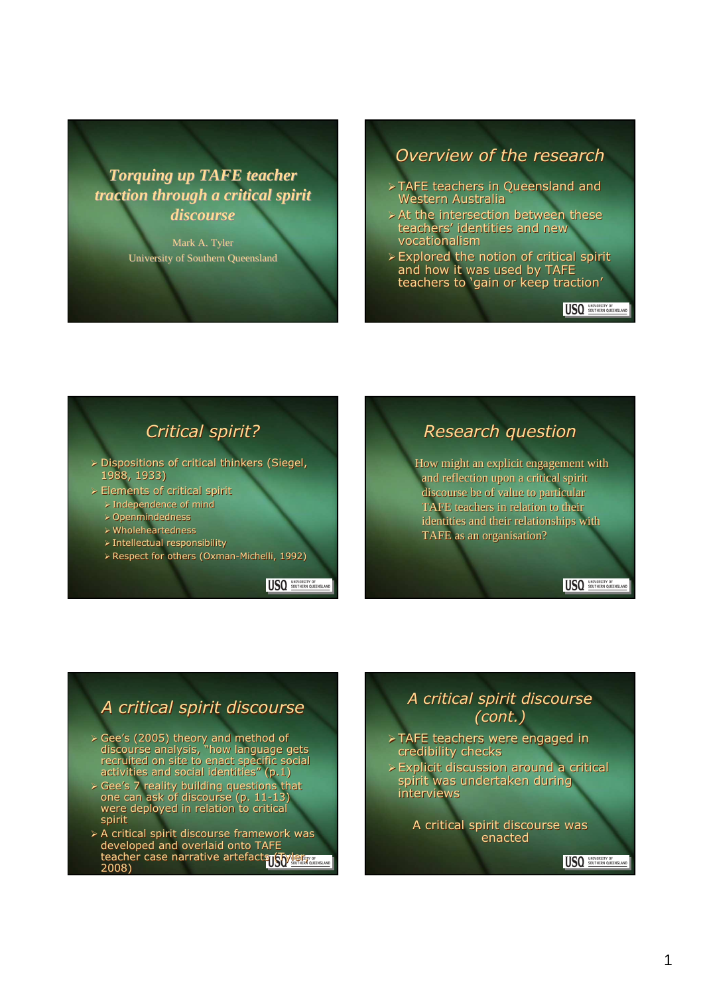*Torquing up TAFE teacher traction through a critical spirit discourse*

> Mark A. Tyler University of Southern Queensland

#### Overview of the research

- TAFE teachers in Queensland and TAFE teachers in Queensland and Western Australia Western Australia
- At the intersection between these At the intersection between theseteachers' identities and new teachers' identities and new vocationalism vocationalism
- Explored the notion of critical spirit and how it was used by TAFE and how it was used by TAFE<br>teachers to 'gain or keep traction' Explored the notion of critical spirit

USO SOUTHERN QUEENS

## Critical spirit?

- Dispositions of critical thinkers (Siegel, Dispositions of critical thinkers (Siegel, 1988, 1933) 1988, 1933)
- Elements of critical spirit Elements of critical spirit
	- Independence of mind Independence of mind
	- Openmindedness Openmindedness
	- Wholeheartedness Wholeheartedness
	- Intellectual responsibility Intellectual responsibility
	- Respect for others (Oxman-Michelli, 1992) Respect for others (Oxman-Michelli, 1992)

USQ SOUTHERN QUEENSLAND

## Research question

How might an explicit engagement with How might an explicit engagement with and reflection upon a critical spirit and reflection upon a critical spirit discourse be of value to particular discourse be of value to particular TAFE teachers in relation to their TAFE teachers in relation to their identities and their relationships with TAFE as an organisation? TAFE as an organisation?

USQ SOUTHERN QUEENSLAND

## A critical spirit discourse

- Gee's (2005) theory and method of discourse analysis, "how language gets recruited on site to enact specific social activities and social identities" (p.1) Gee's (2005) theory and method of discourse analysis, "how language gets recruited on site to enact specific sc<br>activities and social identities" (p.1)
- Gee's 7 reality building questions that one can ask of discourse (p. 11-13) were deployed in relation to critical spirit spirit Gee's 7 reality building questions that one can ask of discourse (p. 11-13) were deployed in relation to critical
- > A critical spirit discourse framework was developed and overlaid onto TAFE developed and overlaid onto TAFE teacher case narrative artefacts (Tyler, 2008) 2008)

## A critical spirit discourse (cont.)

- TAFE teachers were engaged in TAFE teachers were engaged in credibility checks credibility checks
- Explicit discussion around a critical Explicit discussion around a critical spirit was undertaken during interviews spirit was undertaken during interviews

A critical spirit discourse was A critical spirit discourse was enacted enacted

USO SOUTHERN QUEENSLAN